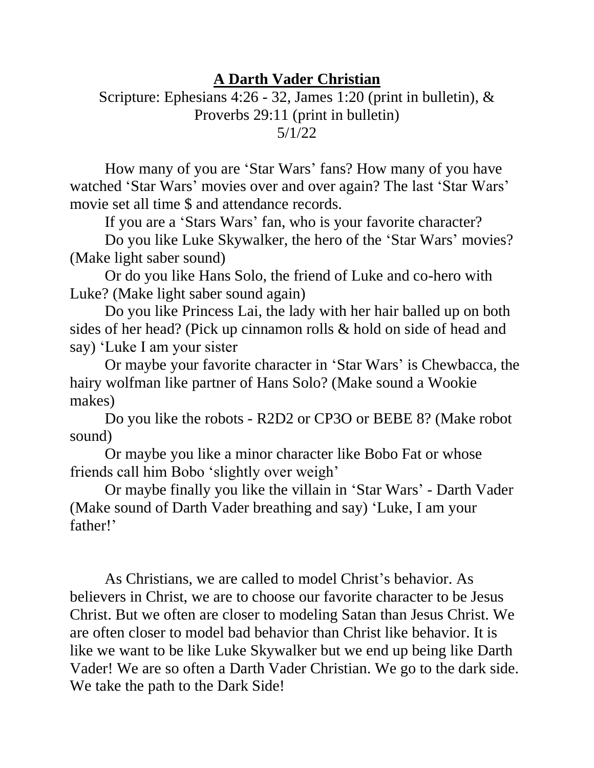## **A Darth Vader Christian**

## Scripture: Ephesians 4:26 - 32, James 1:20 (print in bulletin), & Proverbs 29:11 (print in bulletin) 5/1/22

How many of you are 'Star Wars' fans? How many of you have watched 'Star Wars' movies over and over again? The last 'Star Wars' movie set all time \$ and attendance records.

If you are a 'Stars Wars' fan, who is your favorite character?

Do you like Luke Skywalker, the hero of the 'Star Wars' movies? (Make light saber sound)

Or do you like Hans Solo, the friend of Luke and co-hero with Luke? (Make light saber sound again)

Do you like Princess Lai, the lady with her hair balled up on both sides of her head? (Pick up cinnamon rolls & hold on side of head and say) 'Luke I am your sister

Or maybe your favorite character in 'Star Wars' is Chewbacca, the hairy wolfman like partner of Hans Solo? (Make sound a Wookie makes)

Do you like the robots - R2D2 or CP3O or BEBE 8? (Make robot sound)

Or maybe you like a minor character like Bobo Fat or whose friends call him Bobo 'slightly over weigh'

Or maybe finally you like the villain in 'Star Wars' - Darth Vader (Make sound of Darth Vader breathing and say) 'Luke, I am your father!'

As Christians, we are called to model Christ's behavior. As believers in Christ, we are to choose our favorite character to be Jesus Christ. But we often are closer to modeling Satan than Jesus Christ. We are often closer to model bad behavior than Christ like behavior. It is like we want to be like Luke Skywalker but we end up being like Darth Vader! We are so often a Darth Vader Christian. We go to the dark side. We take the path to the Dark Side!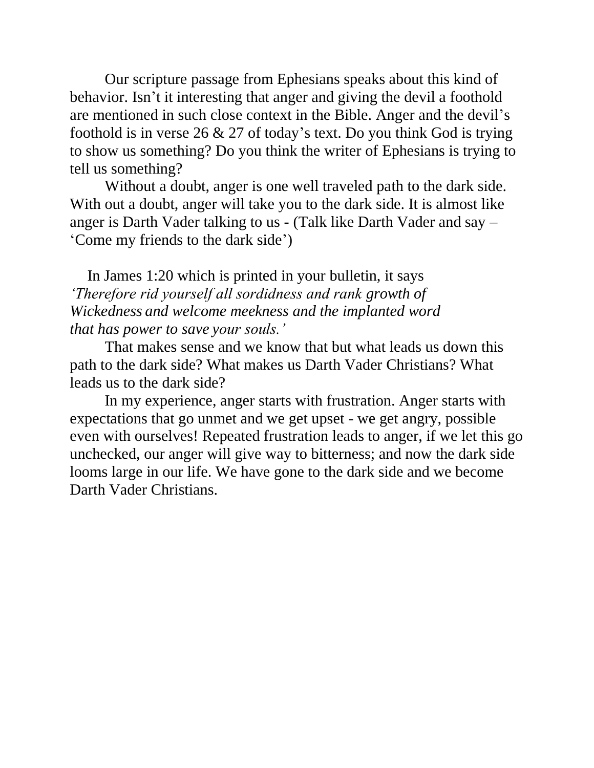Our scripture passage from Ephesians speaks about this kind of behavior. Isn't it interesting that anger and giving the devil a foothold are mentioned in such close context in the Bible. Anger and the devil's foothold is in verse  $26 \& 27$  of today's text. Do you think God is trying to show us something? Do you think the writer of Ephesians is trying to tell us something?

Without a doubt, anger is one well traveled path to the dark side. With out a doubt, anger will take you to the dark side. It is almost like anger is Darth Vader talking to us - (Talk like Darth Vader and say – 'Come my friends to the dark side')

In James 1:20 which is printed in your bulletin, it says *'Therefore rid yourself all sordidness and rank growth of Wickedness and welcome meekness and the implanted word that has power to save your souls.'*

That makes sense and we know that but what leads us down this path to the dark side? What makes us Darth Vader Christians? What leads us to the dark side?

In my experience, anger starts with frustration. Anger starts with expectations that go unmet and we get upset - we get angry, possible even with ourselves! Repeated frustration leads to anger, if we let this go unchecked, our anger will give way to bitterness; and now the dark side looms large in our life. We have gone to the dark side and we become Darth Vader Christians.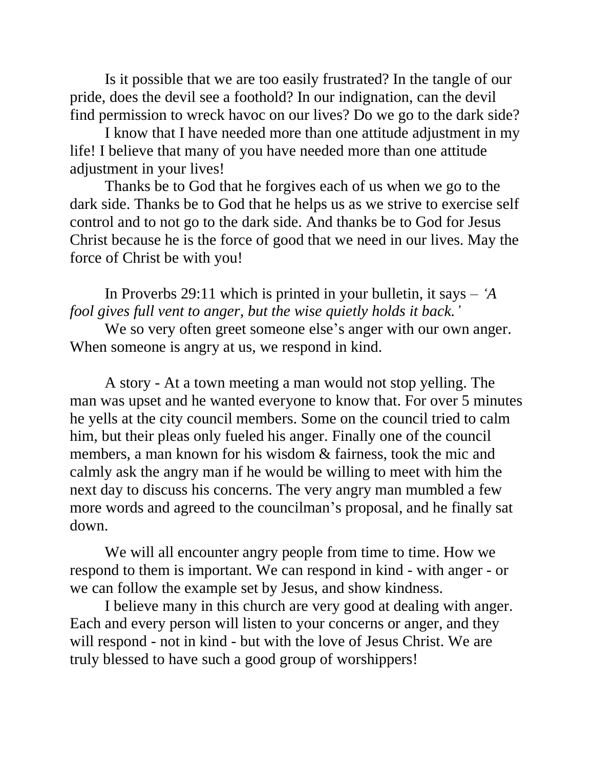Is it possible that we are too easily frustrated? In the tangle of our pride, does the devil see a foothold? In our indignation, can the devil find permission to wreck havoc on our lives? Do we go to the dark side?

I know that I have needed more than one attitude adjustment in my life! I believe that many of you have needed more than one attitude adjustment in your lives!

Thanks be to God that he forgives each of us when we go to the dark side. Thanks be to God that he helps us as we strive to exercise self control and to not go to the dark side. And thanks be to God for Jesus Christ because he is the force of good that we need in our lives. May the force of Christ be with you!

In Proverbs 29:11 which is printed in your bulletin, it says – *'A fool gives full vent to anger, but the wise quietly holds it back.'*

We so very often greet someone else's anger with our own anger. When someone is angry at us, we respond in kind.

A story - At a town meeting a man would not stop yelling. The man was upset and he wanted everyone to know that. For over 5 minutes he yells at the city council members. Some on the council tried to calm him, but their pleas only fueled his anger. Finally one of the council members, a man known for his wisdom & fairness, took the mic and calmly ask the angry man if he would be willing to meet with him the next day to discuss his concerns. The very angry man mumbled a few more words and agreed to the councilman's proposal, and he finally sat down.

We will all encounter angry people from time to time. How we respond to them is important. We can respond in kind - with anger - or we can follow the example set by Jesus, and show kindness.

I believe many in this church are very good at dealing with anger. Each and every person will listen to your concerns or anger, and they will respond - not in kind - but with the love of Jesus Christ. We are truly blessed to have such a good group of worshippers!